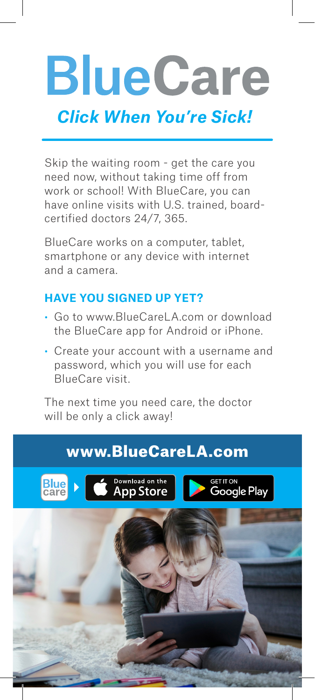

Skip the waiting room - get the care you need now, without taking time off from work or school! With BlueCare, you can have online visits with U.S. trained, boardcertified doctors 24/7, 365.

BlueCare works on a computer, tablet, smartphone or any device with internet and a camera.

## **HAVE YOU SIGNED UP YET?**

- Go to www.BlueCareLA.com or download the BlueCare app for Android or iPhone.
- Create your account with a username and password, which you will use for each BlueCare visit.

The next time you need care, the doctor will be only a click away!

## www.BlueCareLA.com